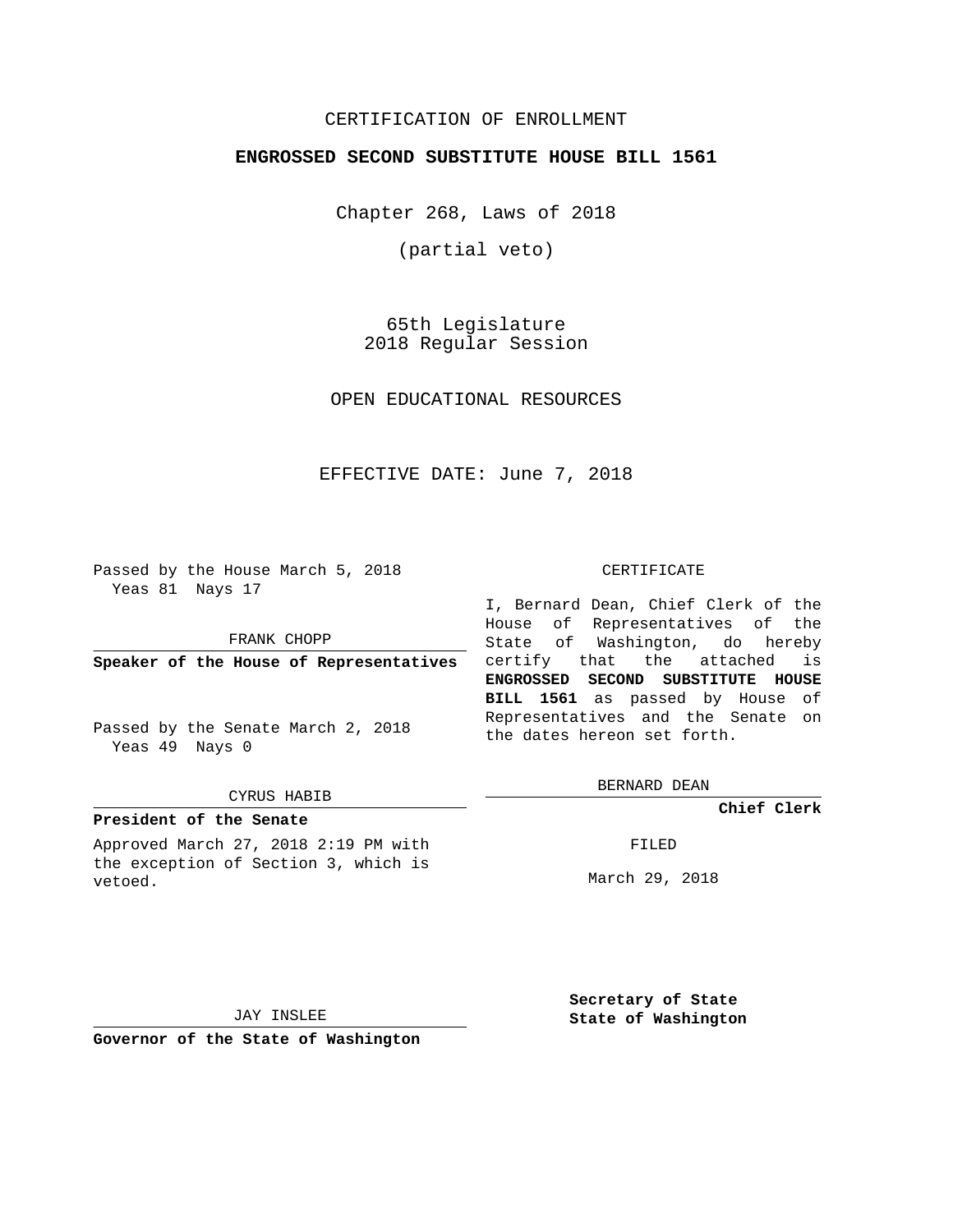# CERTIFICATION OF ENROLLMENT

## **ENGROSSED SECOND SUBSTITUTE HOUSE BILL 1561**

Chapter 268, Laws of 2018

(partial veto)

65th Legislature 2018 Regular Session

OPEN EDUCATIONAL RESOURCES

EFFECTIVE DATE: June 7, 2018

Passed by the House March 5, 2018 Yeas 81 Nays 17

FRANK CHOPP

**Speaker of the House of Representatives**

Passed by the Senate March 2, 2018 Yeas 49 Nays 0

#### CYRUS HABIB

## **President of the Senate**

Approved March 27, 2018 2:19 PM with the exception of Section 3, which is vetoed.

#### CERTIFICATE

I, Bernard Dean, Chief Clerk of the House of Representatives of the State of Washington, do hereby certify that the attached is **ENGROSSED SECOND SUBSTITUTE HOUSE BILL 1561** as passed by House of Representatives and the Senate on the dates hereon set forth.

BERNARD DEAN

**Chief Clerk**

FILED

March 29, 2018

JAY INSLEE

**Governor of the State of Washington**

**Secretary of State State of Washington**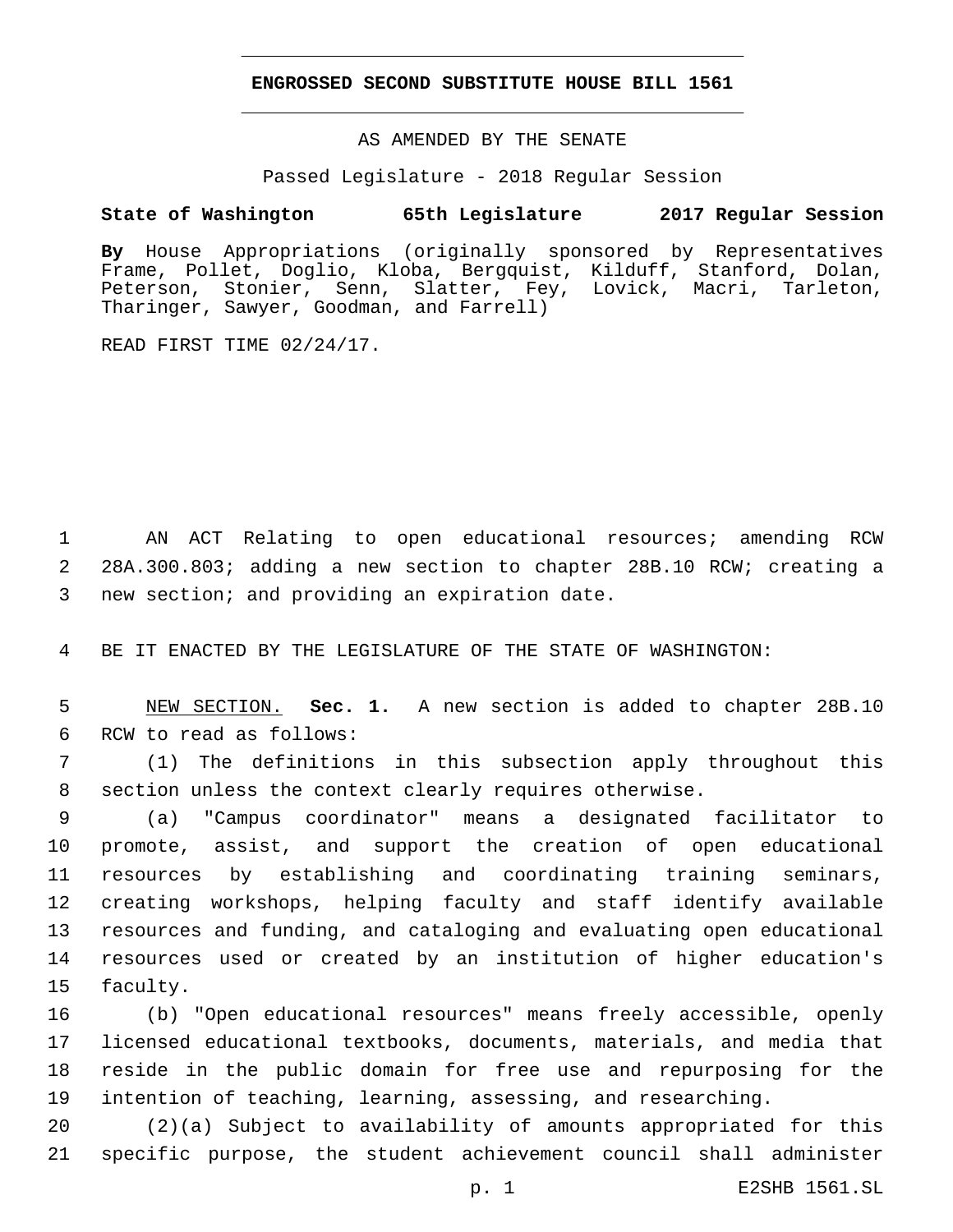### **ENGROSSED SECOND SUBSTITUTE HOUSE BILL 1561**

AS AMENDED BY THE SENATE

Passed Legislature - 2018 Regular Session

# **State of Washington 65th Legislature 2017 Regular Session**

**By** House Appropriations (originally sponsored by Representatives Frame, Pollet, Doglio, Kloba, Bergquist, Kilduff, Stanford, Dolan, Peterson, Stonier, Senn, Slatter, Fey, Lovick, Macri, Tarleton, Tharinger, Sawyer, Goodman, and Farrell)

READ FIRST TIME 02/24/17.

1 AN ACT Relating to open educational resources; amending RCW 2 28A.300.803; adding a new section to chapter 28B.10 RCW; creating a 3 new section; and providing an expiration date.

4 BE IT ENACTED BY THE LEGISLATURE OF THE STATE OF WASHINGTON:

5 NEW SECTION. **Sec. 1.** A new section is added to chapter 28B.10 6 RCW to read as follows:

7 (1) The definitions in this subsection apply throughout this 8 section unless the context clearly requires otherwise.

 (a) "Campus coordinator" means a designated facilitator to promote, assist, and support the creation of open educational resources by establishing and coordinating training seminars, creating workshops, helping faculty and staff identify available resources and funding, and cataloging and evaluating open educational resources used or created by an institution of higher education's 15 faculty.

 (b) "Open educational resources" means freely accessible, openly licensed educational textbooks, documents, materials, and media that reside in the public domain for free use and repurposing for the intention of teaching, learning, assessing, and researching.

20 (2)(a) Subject to availability of amounts appropriated for this 21 specific purpose, the student achievement council shall administer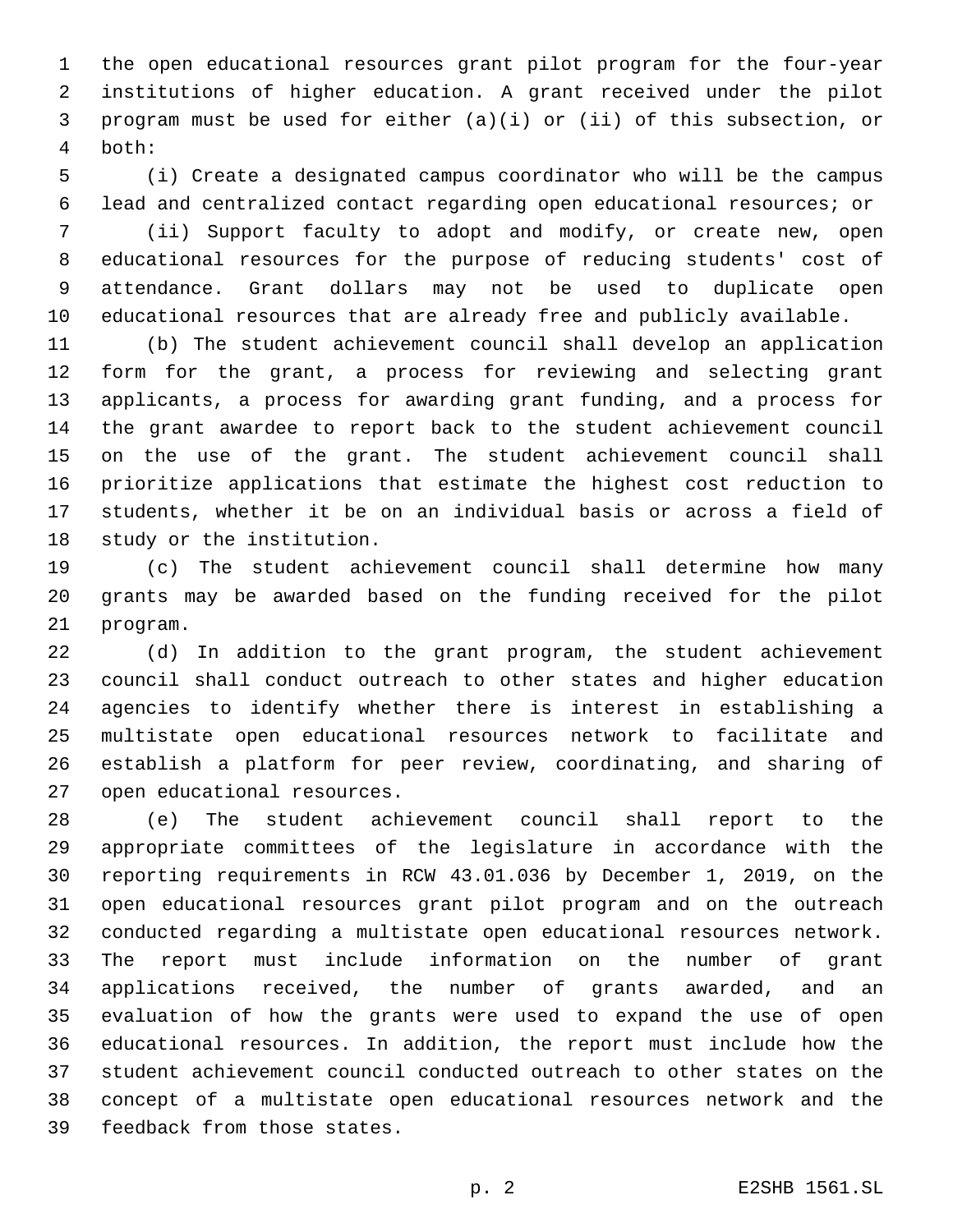the open educational resources grant pilot program for the four-year institutions of higher education. A grant received under the pilot program must be used for either (a)(i) or (ii) of this subsection, or both:4

 (i) Create a designated campus coordinator who will be the campus lead and centralized contact regarding open educational resources; or

 (ii) Support faculty to adopt and modify, or create new, open educational resources for the purpose of reducing students' cost of attendance. Grant dollars may not be used to duplicate open educational resources that are already free and publicly available.

 (b) The student achievement council shall develop an application form for the grant, a process for reviewing and selecting grant applicants, a process for awarding grant funding, and a process for the grant awardee to report back to the student achievement council on the use of the grant. The student achievement council shall prioritize applications that estimate the highest cost reduction to students, whether it be on an individual basis or across a field of 18 study or the institution.

 (c) The student achievement council shall determine how many grants may be awarded based on the funding received for the pilot 21 program.

 (d) In addition to the grant program, the student achievement council shall conduct outreach to other states and higher education agencies to identify whether there is interest in establishing a multistate open educational resources network to facilitate and establish a platform for peer review, coordinating, and sharing of 27 open educational resources.

 (e) The student achievement council shall report to the appropriate committees of the legislature in accordance with the reporting requirements in RCW 43.01.036 by December 1, 2019, on the open educational resources grant pilot program and on the outreach conducted regarding a multistate open educational resources network. The report must include information on the number of grant applications received, the number of grants awarded, and an evaluation of how the grants were used to expand the use of open educational resources. In addition, the report must include how the student achievement council conducted outreach to other states on the concept of a multistate open educational resources network and the 39 feedback from those states.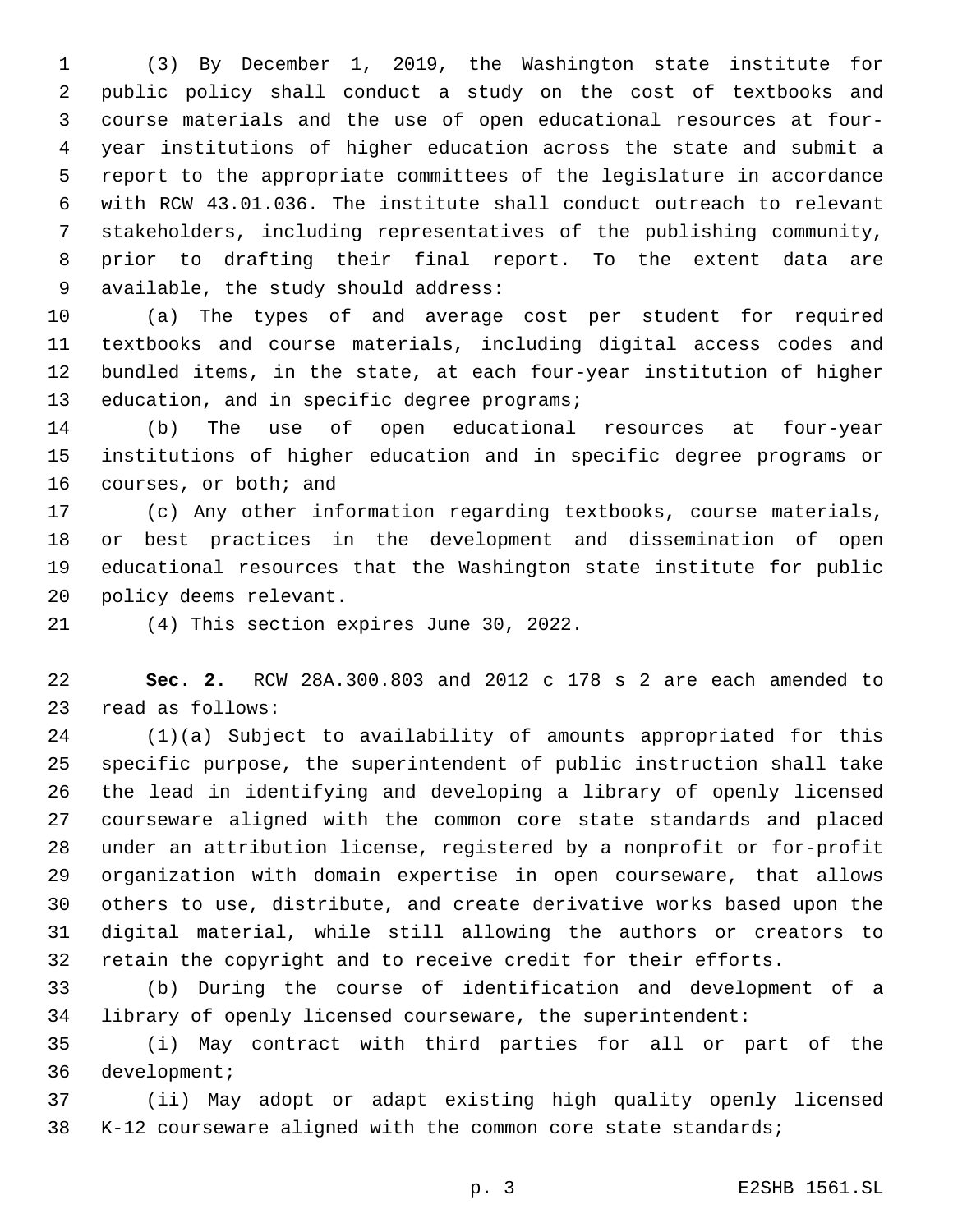(3) By December 1, 2019, the Washington state institute for public policy shall conduct a study on the cost of textbooks and course materials and the use of open educational resources at four- year institutions of higher education across the state and submit a report to the appropriate committees of the legislature in accordance with RCW 43.01.036. The institute shall conduct outreach to relevant stakeholders, including representatives of the publishing community, prior to drafting their final report. To the extent data are 9 available, the study should address:

 (a) The types of and average cost per student for required textbooks and course materials, including digital access codes and bundled items, in the state, at each four-year institution of higher 13 education, and in specific degree programs;

 (b) The use of open educational resources at four-year institutions of higher education and in specific degree programs or 16 courses, or both; and

 (c) Any other information regarding textbooks, course materials, or best practices in the development and dissemination of open educational resources that the Washington state institute for public 20 policy deems relevant.

21 (4) This section expires June 30, 2022.

 **Sec. 2.** RCW 28A.300.803 and 2012 c 178 s 2 are each amended to 23 read as follows:

 (1)(a) Subject to availability of amounts appropriated for this specific purpose, the superintendent of public instruction shall take the lead in identifying and developing a library of openly licensed courseware aligned with the common core state standards and placed under an attribution license, registered by a nonprofit or for-profit organization with domain expertise in open courseware, that allows others to use, distribute, and create derivative works based upon the digital material, while still allowing the authors or creators to retain the copyright and to receive credit for their efforts.

 (b) During the course of identification and development of a library of openly licensed courseware, the superintendent:

 (i) May contract with third parties for all or part of the 36 development;

 (ii) May adopt or adapt existing high quality openly licensed K-12 courseware aligned with the common core state standards;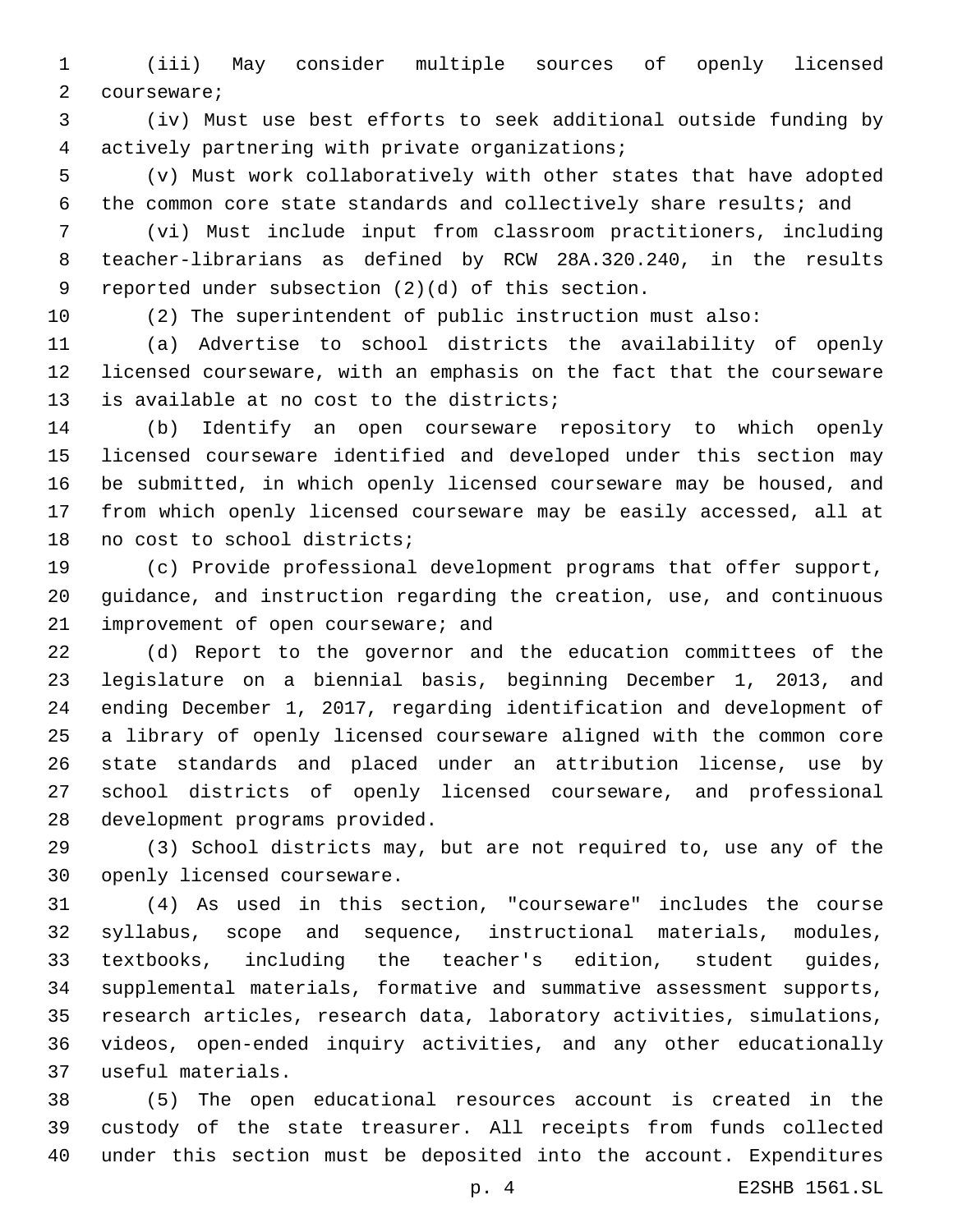(iii) May consider multiple sources of openly licensed 2 courseware;

 (iv) Must use best efforts to seek additional outside funding by 4 actively partnering with private organizations;

 (v) Must work collaboratively with other states that have adopted the common core state standards and collectively share results; and

 (vi) Must include input from classroom practitioners, including teacher-librarians as defined by RCW 28A.320.240, in the results 9 reported under subsection  $(2)(d)$  of this section.

(2) The superintendent of public instruction must also:

 (a) Advertise to school districts the availability of openly licensed courseware, with an emphasis on the fact that the courseware 13 is available at no cost to the districts;

 (b) Identify an open courseware repository to which openly licensed courseware identified and developed under this section may be submitted, in which openly licensed courseware may be housed, and from which openly licensed courseware may be easily accessed, all at 18 no cost to school districts;

 (c) Provide professional development programs that offer support, guidance, and instruction regarding the creation, use, and continuous 21 improvement of open courseware; and

 (d) Report to the governor and the education committees of the legislature on a biennial basis, beginning December 1, 2013, and ending December 1, 2017, regarding identification and development of a library of openly licensed courseware aligned with the common core state standards and placed under an attribution license, use by school districts of openly licensed courseware, and professional 28 development programs provided.

 (3) School districts may, but are not required to, use any of the 30 openly licensed courseware.

 (4) As used in this section, "courseware" includes the course syllabus, scope and sequence, instructional materials, modules, textbooks, including the teacher's edition, student guides, supplemental materials, formative and summative assessment supports, research articles, research data, laboratory activities, simulations, videos, open-ended inquiry activities, and any other educationally useful materials.37

 (5) The open educational resources account is created in the custody of the state treasurer. All receipts from funds collected under this section must be deposited into the account. Expenditures